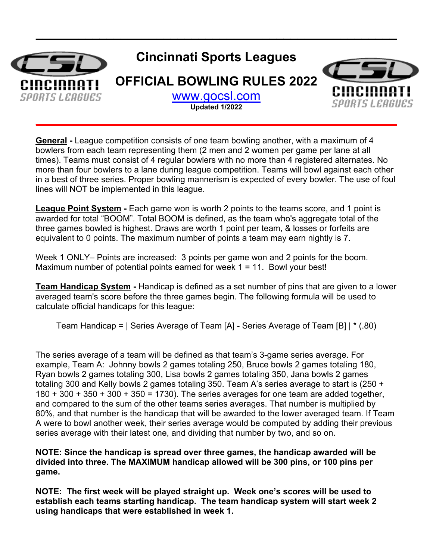

**\_\_\_\_\_\_\_\_\_\_\_\_\_\_\_\_\_\_\_\_\_\_\_\_\_\_\_\_\_\_\_\_\_\_\_\_\_\_\_\_\_\_\_\_\_\_\_\_\_\_\_**

**General -** League competition consists of one team bowling another, with a maximum of 4 bowlers from each team representing them (2 men and 2 women per game per lane at all times). Teams must consist of 4 regular bowlers with no more than 4 registered alternates. No more than four bowlers to a lane during league competition. Teams will bowl against each other in a best of three series. Proper bowling mannerism is expected of every bowler. The use of foul lines will NOT be implemented in this league.

**League Point System** - Each game won is worth 2 points to the teams score, and 1 point is awarded for total "BOOM". Total BOOM is defined, as the team who's aggregate total of the three games bowled is highest. Draws are worth 1 point per team, & losses or forfeits are equivalent to 0 points. The maximum number of points a team may earn nightly is 7.

Week 1 ONLY– Points are increased: 3 points per game won and 2 points for the boom. Maximum number of potential points earned for week 1 = 11. Bowl your best!

**Team Handicap System -** Handicap is defined as a set number of pins that are given to a lower averaged team's score before the three games begin. The following formula will be used to calculate official handicaps for this league:

Team Handicap = | Series Average of Team [A] - Series Average of Team [B] | \* (.80)

The series average of a team will be defined as that team's 3-game series average. For example, Team A: Johnny bowls 2 games totaling 250, Bruce bowls 2 games totaling 180, Ryan bowls 2 games totaling 300, Lisa bowls 2 games totaling 350, Jana bowls 2 games totaling 300 and Kelly bowls 2 games totaling 350. Team A's series average to start is (250 +  $180 + 300 + 350 + 300 + 350 = 1730$ . The series averages for one team are added together, and compared to the sum of the other teams series averages. That number is multiplied by 80%, and that number is the handicap that will be awarded to the lower averaged team. If Team A were to bowl another week, their series average would be computed by adding their previous series average with their latest one, and dividing that number by two, and so on.

**NOTE: Since the handicap is spread over three games, the handicap awarded will be divided into three. The MAXIMUM handicap allowed will be 300 pins, or 100 pins per game.**

**NOTE: The first week will be played straight up. Week one's scores will be used to establish each teams starting handicap. The team handicap system will start week 2 using handicaps that were established in week 1.**